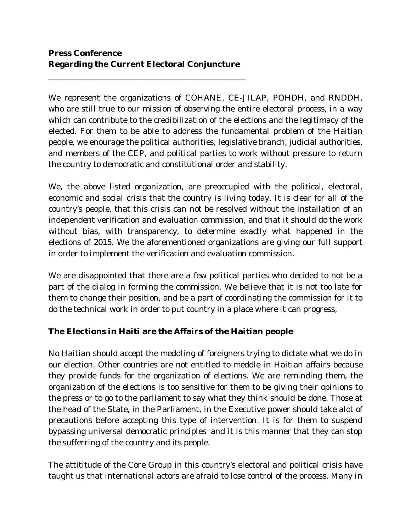\_\_\_\_\_\_\_\_\_\_\_\_\_\_\_\_\_\_\_\_\_\_\_\_\_\_\_\_\_\_\_\_\_\_\_\_\_\_\_\_\_\_\_\_\_\_\_\_\_

We represent the organizations of COHANE, CE-JILAP, POHDH, and RNDDH, who are still true to our mission of observing the entire electoral process, in a way which can contribute to the credibilization of the elections and the legitimacy of the elected. For them to be able to address the fundamental problem of the Haitian people, we enourage the political authorities, legislative branch, judicial authorities, and members of the CEP, and political parties to work without pressure to return the country to democratic and constitutional order and stability.

We, the above listed organization, are preoccupied with the political, electoral, economic and social crisis that the country is living today. It is clear for all of the country's people, that this crisis can not be resolved without the installation of an independent verification and evaluation commission, and that it should do the work without bias, with transparency, to determine exactly what happened in the elections of 2015. We the aforementioned organizations are giving our full support in order to implement the verification and evaluation commission.

We are disappointed that there are a few political parties who decided to not be a part of the dialog in forming the commission. We believe that it is not too late for them to change their position, and be a part of coordinating the commission for it to do the technical work in order to put country in a place where it can progress,

**The Elections in Haiti are the Affairs of the Haitian people** 

No Haitian should accept the meddling of foreigners trying to dictate what we do in our election. Other countries are not entitled to meddle in Haitian affairs because they provide funds for the organization of elections. We are reminding them, the organization of the elections is too sensitive for them to be giving their opinions to the press or to go to the parliament to say what they think should be done. Those at the head of the State, in the Parliament, in the Executive power should take alot of precautions before accepting this type of intervention. It is for them to suspend bypassing universal democratic principles and it is this manner that they can stop the sufferring of the country and its people.

The attititude of the Core Group in this country's electoral and political crisis have taught us that international actors are afraid to lose control of the process. Many in